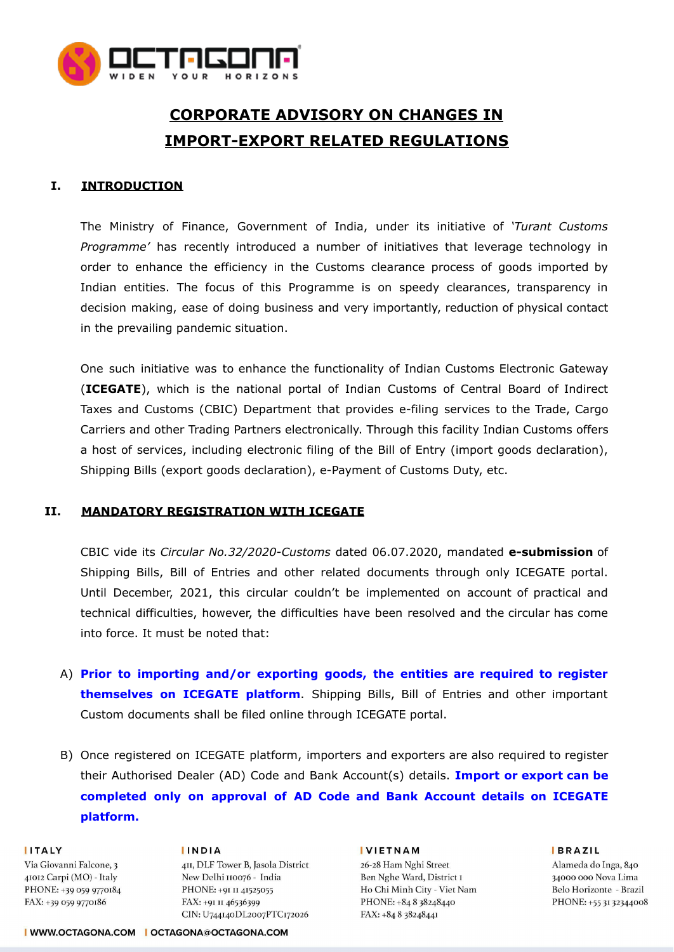

# **CORPORATE ADVISORY ON CHANGES IN IMPORT-EXPORT RELATED REGULATIONS**

## **I. INTRODUCTION**

The Ministry of Finance, Government of India, under its initiative of *'Turant Customs Programme'* has recently introduced a number of initiatives that leverage technology in order to enhance the efficiency in the Customs clearance process of goods imported by Indian entities. The focus of this Programme is on speedy clearances, transparency in decision making, ease of doing business and very importantly, reduction of physical contact in the prevailing pandemic situation.

One such initiative was to enhance the functionality of Indian Customs Electronic Gateway (**ICEGATE**), which is the national portal of Indian Customs of Central Board of Indirect Taxes and Customs (CBIC) Department that provides e-filing services to the Trade, Cargo Carriers and other Trading Partners electronically. Through this facility Indian Customs offers a host of services, including electronic filing of the Bill of Entry (import goods declaration), Shipping Bills (export goods declaration), e-Payment of Customs Duty, etc.

### **II. MANDATORY REGISTRATION WITH ICEGATE**

CBIC vide its *Circular No.32/2020-Customs* dated 06.07.2020, mandated **e-submission** of Shipping Bills, Bill of Entries and other related documents through only ICEGATE portal. Until December, 2021, this circular couldn't be implemented on account of practical and technical difficulties, however, the difficulties have been resolved and the circular has come into force. It must be noted that:

- A) **Prior to importing and/or exporting goods, the entities are required to register themselves on ICEGATE platform**. Shipping Bills, Bill of Entries and other important Custom documents shall be filed online through ICEGATE portal.
- B) Once registered on ICEGATE platform, importers and exporters are also required to register their Authorised Dealer (AD) Code and Bank Account(s) details. **Import or export can be completed only on approval of AD Code and Bank Account details on ICEGATE platform.**

#### **IITALY**

Via Giovanni Falcone, 3 41012 Carpi (MO) - Italy PHONE: +39 059 9770184 FAX: +39 059 9770186

**INDIA** 4II, DLF Tower B, Jasola District New Delhi 110076 - India PHONE: +91 II 41525055 FAX: +91 II 46536399 CIN: U744140DL2007PTC172026

#### **IVIETNAM**

26-28 Ham Nghi Street Ben Nghe Ward, District I Ho Chi Minh City - Viet Nam PHONE: +84 8 38248440 FAX: +84 8 38248441

**BRAZIL** 

Alameda do Inga, 840 34000 000 Nova Lima Belo Horizonte - Brazil PHONE: +55 31 32344008